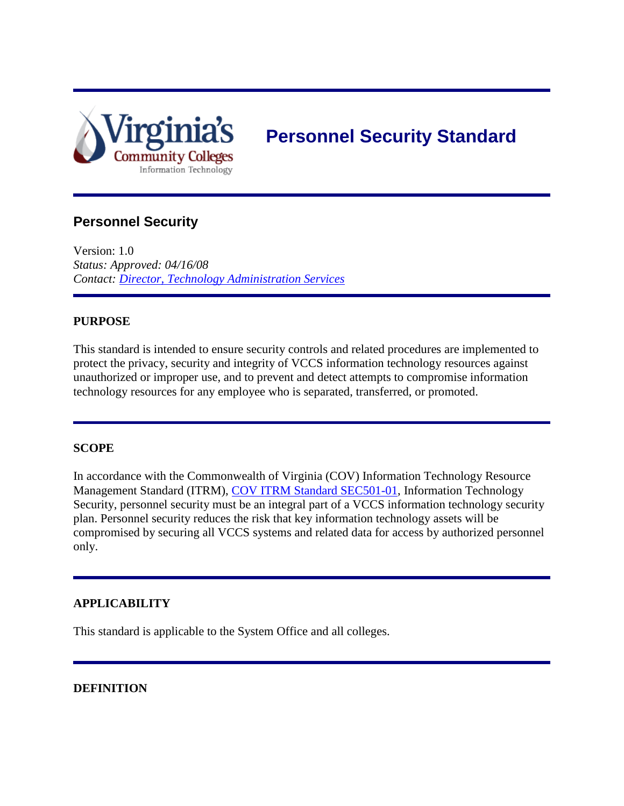

# **Personnel Security Standard**

## **Personnel Security**

Version: 1.0 *Status: Approved: 04/16/08 Contact: [Director, Technology Administration Services](mailto:JDavis@vccs.edu)*

#### **PURPOSE**

This standard is intended to ensure security controls and related procedures are implemented to protect the privacy, security and integrity of VCCS information technology resources against unauthorized or improper use, and to prevent and detect attempts to compromise information technology resources for any employee who is separated, transferred, or promoted.

#### **SCOPE**

In accordance with the Commonwealth of Virginia (COV) Information Technology Resource Management Standard (ITRM), [COV ITRM Standard SEC501-01,](http://www.vita.virginia.gov/uploadedFiles/Library/PSGs/ITRMSEC501-01ITSecStd.pdf) Information Technology Security, personnel security must be an integral part of a VCCS information technology security plan. Personnel security reduces the risk that key information technology assets will be compromised by securing all VCCS systems and related data for access by authorized personnel only.

#### **APPLICABILITY**

This standard is applicable to the System Office and all colleges.

#### **DEFINITION**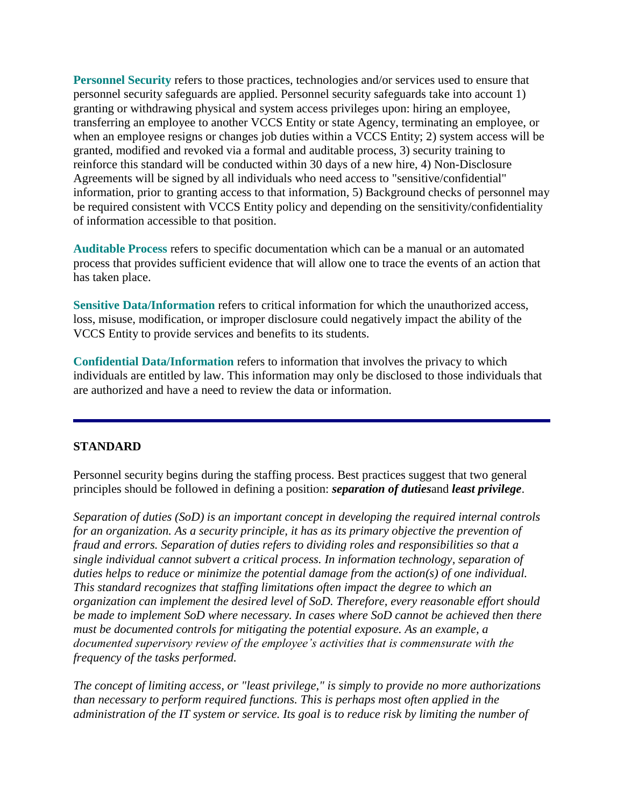**Personnel Security** refers to those practices, technologies and/or services used to ensure that personnel security safeguards are applied. Personnel security safeguards take into account 1) granting or withdrawing physical and system access privileges upon: hiring an employee, transferring an employee to another VCCS Entity or state Agency, terminating an employee, or when an employee resigns or changes job duties within a VCCS Entity; 2) system access will be granted, modified and revoked via a formal and auditable process, 3) security training to reinforce this standard will be conducted within 30 days of a new hire, 4) Non-Disclosure Agreements will be signed by all individuals who need access to "sensitive/confidential" information, prior to granting access to that information, 5) Background checks of personnel may be required consistent with VCCS Entity policy and depending on the sensitivity/confidentiality of information accessible to that position.

**Auditable Process** refers to specific documentation which can be a manual or an automated process that provides sufficient evidence that will allow one to trace the events of an action that has taken place.

**Sensitive Data/Information** refers to critical information for which the unauthorized access, loss, misuse, modification, or improper disclosure could negatively impact the ability of the VCCS Entity to provide services and benefits to its students.

**Confidential Data/Information** refers to information that involves the privacy to which individuals are entitled by law. This information may only be disclosed to those individuals that are authorized and have a need to review the data or information.

#### **STANDARD**

Personnel security begins during the staffing process. Best practices suggest that two general principles should be followed in defining a position: *separation of duties*and *least privilege*.

*Separation of duties (SoD) is an important concept in developing the required internal controls for an organization. As a security principle, it has as its primary objective the prevention of fraud and errors. Separation of duties refers to dividing roles and responsibilities so that a single individual cannot subvert a critical process. In information technology, separation of duties helps to reduce or minimize the potential damage from the action(s) of one individual. This standard recognizes that staffing limitations often impact the degree to which an organization can implement the desired level of SoD. Therefore, every reasonable effort should be made to implement SoD where necessary. In cases where SoD cannot be achieved then there must be documented controls for mitigating the potential exposure. As an example, a documented supervisory review of the employee's activities that is commensurate with the frequency of the tasks performed.* 

*The concept of limiting access, or "least privilege," is simply to provide no more authorizations than necessary to perform required functions. This is perhaps most often applied in the administration of the IT system or service. Its goal is to reduce risk by limiting the number of*